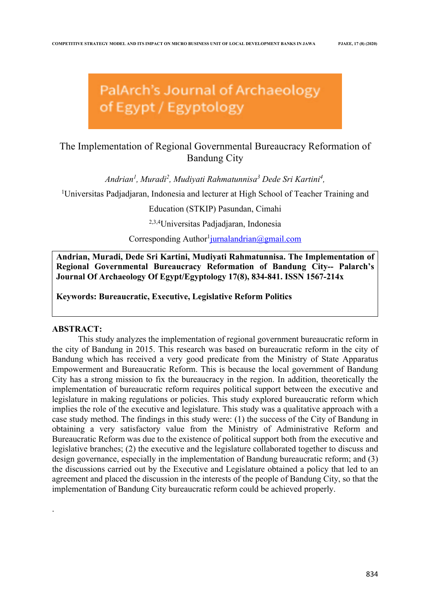# PalArch's Journal of Archaeology of Egypt / Egyptology

# The Implementation of Regional Governmental Bureaucracy Reformation of Bandung City

*Andrian1 , Muradi2 , Mudiyati Rahmatunnisa3 Dede Sri Kartini4 ,*

<sup>1</sup>Universitas Padjadjaran, Indonesia and lecturer at High School of Teacher Training and

Education (STKIP) Pasundan, Cimahi

2,3,4Universitas Padjadjaran, Indonesia

Corresponding Author<sup>1</sup>jurnalandrian@gmail.com

**Andrian, Muradi, Dede Sri Kartini, Mudiyati Rahmatunnisa. The Implementation of Regional Governmental Bureaucracy Reformation of Bandung City-- Palarch's Journal Of Archaeology Of Egypt/Egyptology 17(8), 834-841. ISSN 1567-214x**

**Keywords: Bureaucratic, Executive, Legislative Reform Politics**

#### **ABSTRACT:**

.

This study analyzes the implementation of regional government bureaucratic reform in the city of Bandung in 2015. This research was based on bureaucratic reform in the city of Bandung which has received a very good predicate from the Ministry of State Apparatus Empowerment and Bureaucratic Reform. This is because the local government of Bandung City has a strong mission to fix the bureaucracy in the region. In addition, theoretically the implementation of bureaucratic reform requires political support between the executive and legislature in making regulations or policies. This study explored bureaucratic reform which implies the role of the executive and legislature. This study was a qualitative approach with a case study method. The findings in this study were: (1) the success of the City of Bandung in obtaining a very satisfactory value from the Ministry of Administrative Reform and Bureaucratic Reform was due to the existence of political support both from the executive and legislative branches; (2) the executive and the legislature collaborated together to discuss and design governance, especially in the implementation of Bandung bureaucratic reform; and (3) the discussions carried out by the Executive and Legislature obtained a policy that led to an agreement and placed the discussion in the interests of the people of Bandung City, so that the implementation of Bandung City bureaucratic reform could be achieved properly.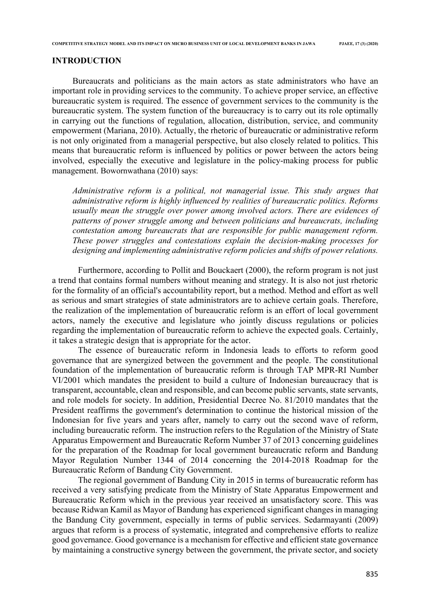#### **INTRODUCTION**

Bureaucrats and politicians as the main actors as state administrators who have an important role in providing services to the community. To achieve proper service, an effective bureaucratic system is required. The essence of government services to the community is the bureaucratic system. The system function of the bureaucracy is to carry out its role optimally in carrying out the functions of regulation, allocation, distribution, service, and community empowerment (Mariana, 2010). Actually, the rhetoric of bureaucratic or administrative reform is not only originated from a managerial perspective, but also closely related to politics. This means that bureaucratic reform is influenced by politics or power between the actors being involved, especially the executive and legislature in the policy-making process for public management. Bowornwathana (2010) says:

*Administrative reform is a political, not managerial issue. This study argues that administrative reform is highly influenced by realities of bureaucratic politics. Reforms usually mean the struggle over power among involved actors. There are evidences of patterns of power struggle among and between politicians and bureaucrats, including contestation among bureaucrats that are responsible for public management reform. These power struggles and contestations explain the decision-making processes for designing and implementing administrative reform policies and shifts of power relations.*

Furthermore, according to Pollit and Bouckaert (2000), the reform program is not just a trend that contains formal numbers without meaning and strategy. It is also not just rhetoric for the formality of an official's accountability report, but a method. Method and effort as well as serious and smart strategies of state administrators are to achieve certain goals. Therefore, the realization of the implementation of bureaucratic reform is an effort of local government actors, namely the executive and legislature who jointly discuss regulations or policies regarding the implementation of bureaucratic reform to achieve the expected goals. Certainly, it takes a strategic design that is appropriate for the actor.

The essence of bureaucratic reform in Indonesia leads to efforts to reform good governance that are synergized between the government and the people. The constitutional foundation of the implementation of bureaucratic reform is through TAP MPR-RI Number VI/2001 which mandates the president to build a culture of Indonesian bureaucracy that is transparent, accountable, clean and responsible, and can become public servants, state servants, and role models for society. In addition, Presidential Decree No. 81/2010 mandates that the President reaffirms the government's determination to continue the historical mission of the Indonesian for five years and years after, namely to carry out the second wave of reform, including bureaucratic reform. The instruction refers to the Regulation of the Ministry of State Apparatus Empowerment and Bureaucratic Reform Number 37 of 2013 concerning guidelines for the preparation of the Roadmap for local government bureaucratic reform and Bandung Mayor Regulation Number 1344 of 2014 concerning the 2014-2018 Roadmap for the Bureaucratic Reform of Bandung City Government.

The regional government of Bandung City in 2015 in terms of bureaucratic reform has received a very satisfying predicate from the Ministry of State Apparatus Empowerment and Bureaucratic Reform which in the previous year received an unsatisfactory score. This was because Ridwan Kamil as Mayor of Bandung has experienced significant changes in managing the Bandung City government, especially in terms of public services. Sedarmayanti (2009) argues that reform is a process of systematic, integrated and comprehensive efforts to realize good governance. Good governance is a mechanism for effective and efficient state governance by maintaining a constructive synergy between the government, the private sector, and society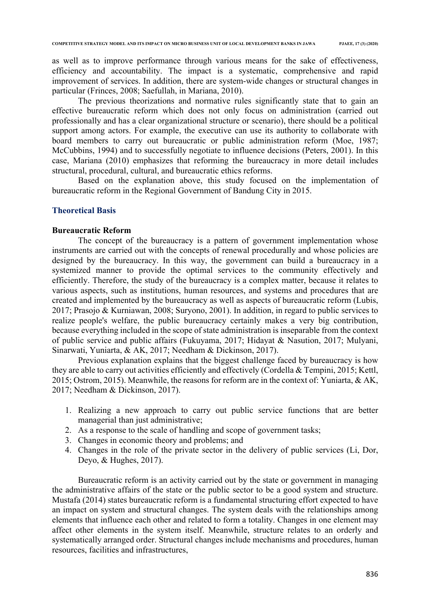as well as to improve performance through various means for the sake of effectiveness, efficiency and accountability. The impact is a systematic, comprehensive and rapid improvement of services. In addition, there are system-wide changes or structural changes in particular (Frinces, 2008; Saefullah, in Mariana, 2010).

The previous theorizations and normative rules significantly state that to gain an effective bureaucratic reform which does not only focus on administration (carried out professionally and has a clear organizational structure or scenario), there should be a political support among actors. For example, the executive can use its authority to collaborate with board members to carry out bureaucratic or public administration reform (Moe, 1987; McCubbins, 1994) and to successfully negotiate to influence decisions (Peters, 2001). In this case, Mariana (2010) emphasizes that reforming the bureaucracy in more detail includes structural, procedural, cultural, and bureaucratic ethics reforms.

Based on the explanation above, this study focused on the implementation of bureaucratic reform in the Regional Government of Bandung City in 2015.

## **Theoretical Basis**

#### **Bureaucratic Reform**

The concept of the bureaucracy is a pattern of government implementation whose instruments are carried out with the concepts of renewal procedurally and whose policies are designed by the bureaucracy. In this way, the government can build a bureaucracy in a systemized manner to provide the optimal services to the community effectively and efficiently. Therefore, the study of the bureaucracy is a complex matter, because it relates to various aspects, such as institutions, human resources, and systems and procedures that are created and implemented by the bureaucracy as well as aspects of bureaucratic reform (Lubis, 2017; Prasojo & Kurniawan, 2008; Suryono, 2001). In addition, in regard to public services to realize people's welfare, the public bureaucracy certainly makes a very big contribution, because everything included in the scope of state administration is inseparable from the context of public service and public affairs (Fukuyama, 2017; Hidayat & Nasution, 2017; Mulyani, Sinarwati, Yuniarta, & AK, 2017; Needham & Dickinson, 2017).

Previous explanation explains that the biggest challenge faced by bureaucracy is how they are able to carry out activities efficiently and effectively (Cordella & Tempini, 2015; Kettl, 2015; Ostrom, 2015). Meanwhile, the reasons for reform are in the context of: Yuniarta, & AK, 2017; Needham & Dickinson, 2017).

- 1. Realizing a new approach to carry out public service functions that are better managerial than just administrative;
- 2. As a response to the scale of handling and scope of government tasks;
- 3. Changes in economic theory and problems; and
- 4. Changes in the role of the private sector in the delivery of public services (Li, Dor, Deyo, & Hughes, 2017).

Bureaucratic reform is an activity carried out by the state or government in managing the administrative affairs of the state or the public sector to be a good system and structure. Mustafa (2014) states bureaucratic reform is a fundamental structuring effort expected to have an impact on system and structural changes. The system deals with the relationships among elements that influence each other and related to form a totality. Changes in one element may affect other elements in the system itself. Meanwhile, structure relates to an orderly and systematically arranged order. Structural changes include mechanisms and procedures, human resources, facilities and infrastructures,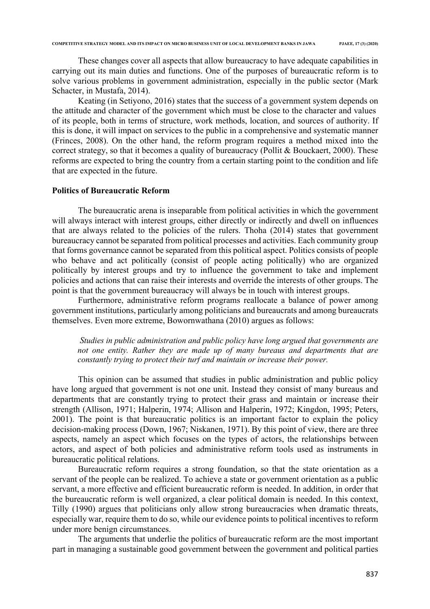These changes cover all aspects that allow bureaucracy to have adequate capabilities in carrying out its main duties and functions. One of the purposes of bureaucratic reform is to solve various problems in government administration, especially in the public sector (Mark Schacter, in Mustafa, 2014).

Keating (in Setiyono, 2016) states that the success of a government system depends on the attitude and character of the government which must be close to the character and values of its people, both in terms of structure, work methods, location, and sources of authority. If this is done, it will impact on services to the public in a comprehensive and systematic manner (Frinces, 2008). On the other hand, the reform program requires a method mixed into the correct strategy, so that it becomes a quality of bureaucracy (Pollit & Bouckaert, 2000). These reforms are expected to bring the country from a certain starting point to the condition and life that are expected in the future.

#### **Politics of Bureaucratic Reform**

The bureaucratic arena is inseparable from political activities in which the government will always interact with interest groups, either directly or indirectly and dwell on influences that are always related to the policies of the rulers. Thoha (2014) states that government bureaucracy cannot be separated from political processes and activities. Each community group that forms governance cannot be separated from this political aspect. Politics consists of people who behave and act politically (consist of people acting politically) who are organized politically by interest groups and try to influence the government to take and implement policies and actions that can raise their interests and override the interests of other groups. The point is that the government bureaucracy will always be in touch with interest groups.

Furthermore, administrative reform programs reallocate a balance of power among government institutions, particularly among politicians and bureaucrats and among bureaucrats themselves. Even more extreme, Bowornwathana (2010) argues as follows:

*Studies in public administration and public policy have long argued that governments are not one entity. Rather they are made up of many bureaus and departments that are constantly trying to protect their turf and maintain or increase their power.*

This opinion can be assumed that studies in public administration and public policy have long argued that government is not one unit. Instead they consist of many bureaus and departments that are constantly trying to protect their grass and maintain or increase their strength (Allison, 1971; Halperin, 1974; Allison and Halperin, 1972; Kingdon, 1995; Peters, 2001). The point is that bureaucratic politics is an important factor to explain the policy decision-making process (Down, 1967; Niskanen, 1971). By this point of view, there are three aspects, namely an aspect which focuses on the types of actors, the relationships between actors, and aspect of both policies and administrative reform tools used as instruments in bureaucratic political relations.

Bureaucratic reform requires a strong foundation, so that the state orientation as a servant of the people can be realized. To achieve a state or government orientation as a public servant, a more effective and efficient bureaucratic reform is needed. In addition, in order that the bureaucratic reform is well organized, a clear political domain is needed. In this context, Tilly (1990) argues that politicians only allow strong bureaucracies when dramatic threats, especially war, require them to do so, while our evidence points to political incentives to reform under more benign circumstances.

The arguments that underlie the politics of bureaucratic reform are the most important part in managing a sustainable good government between the government and political parties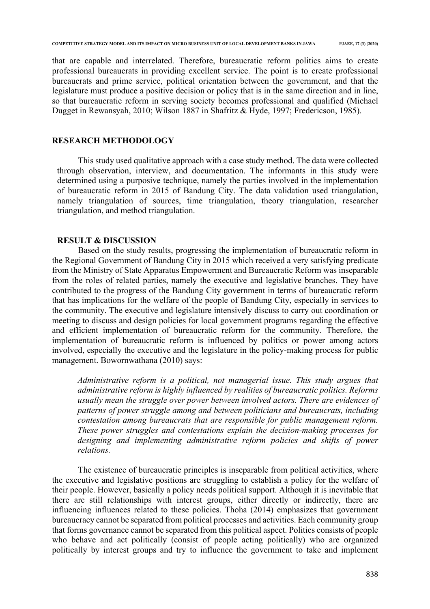that are capable and interrelated. Therefore, bureaucratic reform politics aims to create professional bureaucrats in providing excellent service. The point is to create professional bureaucrats and prime service, political orientation between the government, and that the legislature must produce a positive decision or policy that is in the same direction and in line, so that bureaucratic reform in serving society becomes professional and qualified (Michael Dugget in Rewansyah, 2010; Wilson 1887 in Shafritz & Hyde, 1997; Fredericson, 1985).

### **RESEARCH METHODOLOGY**

This study used qualitative approach with a case study method. The data were collected through observation, interview, and documentation. The informants in this study were determined using a purposive technique, namely the parties involved in the implementation of bureaucratic reform in 2015 of Bandung City. The data validation used triangulation, namely triangulation of sources, time triangulation, theory triangulation, researcher triangulation, and method triangulation.

#### **RESULT & DISCUSSION**

Based on the study results, progressing the implementation of bureaucratic reform in the Regional Government of Bandung City in 2015 which received a very satisfying predicate from the Ministry of State Apparatus Empowerment and Bureaucratic Reform was inseparable from the roles of related parties, namely the executive and legislative branches. They have contributed to the progress of the Bandung City government in terms of bureaucratic reform that has implications for the welfare of the people of Bandung City, especially in services to the community. The executive and legislature intensively discuss to carry out coordination or meeting to discuss and design policies for local government programs regarding the effective and efficient implementation of bureaucratic reform for the community. Therefore, the implementation of bureaucratic reform is influenced by politics or power among actors involved, especially the executive and the legislature in the policy-making process for public management. Bowornwathana (2010) says:

*Administrative reform is a political, not managerial issue. This study argues that administrative reform is highly influenced by realities of bureaucratic politics. Reforms usually mean the struggle over power between involved actors. There are evidences of patterns of power struggle among and between politicians and bureaucrats, including contestation among bureaucrats that are responsible for public management reform. These power struggles and contestations explain the decision-making processes for designing and implementing administrative reform policies and shifts of power relations.*

The existence of bureaucratic principles is inseparable from political activities, where the executive and legislative positions are struggling to establish a policy for the welfare of their people. However, basically a policy needs political support. Although it is inevitable that there are still relationships with interest groups, either directly or indirectly, there are influencing influences related to these policies. Thoha (2014) emphasizes that government bureaucracy cannot be separated from political processes and activities. Each community group that forms governance cannot be separated from this political aspect. Politics consists of people who behave and act politically (consist of people acting politically) who are organized politically by interest groups and try to influence the government to take and implement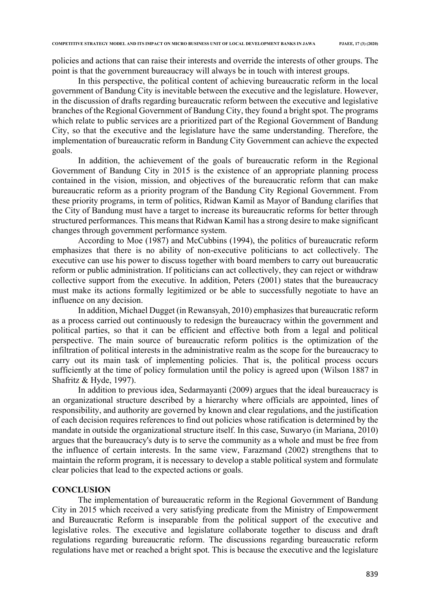policies and actions that can raise their interests and override the interests of other groups. The point is that the government bureaucracy will always be in touch with interest groups.

In this perspective, the political content of achieving bureaucratic reform in the local government of Bandung City is inevitable between the executive and the legislature. However, in the discussion of drafts regarding bureaucratic reform between the executive and legislative branches of the Regional Government of Bandung City, they found a bright spot. The programs which relate to public services are a prioritized part of the Regional Government of Bandung City, so that the executive and the legislature have the same understanding. Therefore, the implementation of bureaucratic reform in Bandung City Government can achieve the expected goals.

In addition, the achievement of the goals of bureaucratic reform in the Regional Government of Bandung City in 2015 is the existence of an appropriate planning process contained in the vision, mission, and objectives of the bureaucratic reform that can make bureaucratic reform as a priority program of the Bandung City Regional Government. From these priority programs, in term of politics, Ridwan Kamil as Mayor of Bandung clarifies that the City of Bandung must have a target to increase its bureaucratic reforms for better through structured performances. This means that Ridwan Kamil has a strong desire to make significant changes through government performance system.

According to Moe (1987) and McCubbins (1994), the politics of bureaucratic reform emphasizes that there is no ability of non-executive politicians to act collectively. The executive can use his power to discuss together with board members to carry out bureaucratic reform or public administration. If politicians can act collectively, they can reject or withdraw collective support from the executive. In addition, Peters (2001) states that the bureaucracy must make its actions formally legitimized or be able to successfully negotiate to have an influence on any decision.

In addition, Michael Dugget (in Rewansyah, 2010) emphasizes that bureaucratic reform as a process carried out continuously to redesign the bureaucracy within the government and political parties, so that it can be efficient and effective both from a legal and political perspective. The main source of bureaucratic reform politics is the optimization of the infiltration of political interests in the administrative realm as the scope for the bureaucracy to carry out its main task of implementing policies. That is, the political process occurs sufficiently at the time of policy formulation until the policy is agreed upon (Wilson 1887 in Shafritz & Hyde, 1997).

In addition to previous idea, Sedarmayanti (2009) argues that the ideal bureaucracy is an organizational structure described by a hierarchy where officials are appointed, lines of responsibility, and authority are governed by known and clear regulations, and the justification of each decision requires references to find out policies whose ratification is determined by the mandate in outside the organizational structure itself. In this case, Suwaryo (in Mariana, 2010) argues that the bureaucracy's duty is to serve the community as a whole and must be free from the influence of certain interests. In the same view, Farazmand (2002) strengthens that to maintain the reform program, it is necessary to develop a stable political system and formulate clear policies that lead to the expected actions or goals.

#### **CONCLUSION**

The implementation of bureaucratic reform in the Regional Government of Bandung City in 2015 which received a very satisfying predicate from the Ministry of Empowerment and Bureaucratic Reform is inseparable from the political support of the executive and legislative roles. The executive and legislature collaborate together to discuss and draft regulations regarding bureaucratic reform. The discussions regarding bureaucratic reform regulations have met or reached a bright spot. This is because the executive and the legislature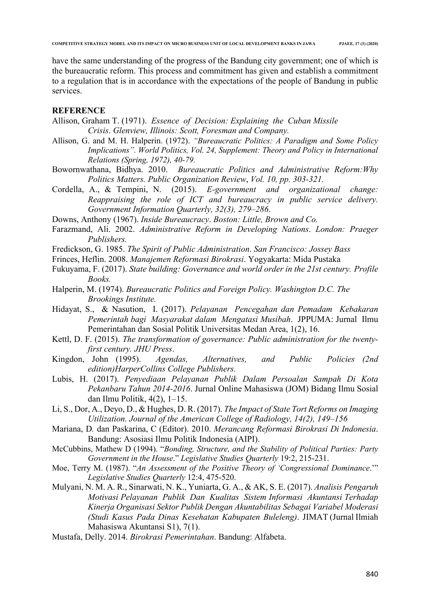have the same understanding of the progress of the Bandung city government; one of which is the bureaucratic reform. This process and commitment has given and establish a commitment to a regulation that is in accordance with the expectations of the people of Bandung in public services.

#### **REFERENCE**

- Allison, Graham T. (1971). *Essence of Decision: Explaining the Cuban Missile Crisis*. *Glenview, Illinois: Scott, Foresman and Company.*
- Allison, G. and M. H. Halperin. (1972). *"Bureaucratic Politics: A Paradigm and Some Policy Implications". World Politics, Vol. 24, Supplement: Theory and Policy in International Relations (Spring, 1972), 40-79.*
- Bowornwathana, Bidhya. 2010. *Bureaucratic Politics and Administrative Reform:Why Politics Matters. Public Organization Review*, *Vol. 10, pp. 303-321.*
- Cordella, A., & Tempini, N. (2015). *E-government and organizational change: Reappraising the role of ICT and bureaucracy in public service delivery. Government Information Quarterly, 32(3), 279–286*.
- Downs, Anthony (1967). *Inside Bureaucracy*. *Boston: Little, Brown and Co.*
- Farazmand, Ali. 2002. *Administrative Reform in Developing Nations*. *London: Praeger Publishers.*
- Fredickson, G. 1985. *The Spirit of Public Administration*. *San Francisco: Jossey Bass*
- Frinces, Heflin. 2008. *Manajemen Reformasi Birokrasi*. Yogyakarta: Mida Pustaka
- Fukuyama, F. (2017). *State building: Governance and world order in the 21st century. Profile Books.*
- Halperin, M. (1974). *Bureaucratic Politics and Foreign Policy. Washington D.C. The Brookings Institute.*
- Hidayat, S., & Nasution, I. (2017). *Pelayanan Pencegahan dan Pemadam Kebakaran Pemerintah bagi Masyarakat dalam Mengatasi Musibah*. JPPUMA: Jurnal Ilmu Pemerintahan dan Sosial Politik Universitas Medan Area, 1(2), 16.
- Kettl, D. F. (2015). *The transformation of governance: Public administration for the twentyfirst century. JHU Press*.
- Kingdon, John (1995). *Agendas, Alternatives, and Public Policies (2nd edition)HarperCollins College Publishers.*
- Lubis, H. (2017). *Penyediaan Pelayanan Publik Dalam Persoalan Sampah Di Kota Pekanbaru Tahun 2014-2016*. Jurnal Online Mahasiswa (JOM) Bidang Ilmu Sosial dan Ilmu Politik, 4(2), 1–15.
- Li, S., Dor, A., Deyo, D., & Hughes, D. R. (2017). *The Impact of State Tort Reforms on Imaging Utilization. Journal of the American College of Radiology, 14(2), 149–156*
- Mariana, D*.* dan Paskarina, C (Editor). 2010. *Merancang Reformasi Birokrasi Di Indonesia*. Bandung: Asosiasi Ilmu Politik Indonesia (AIPI).
- McCubbins, Mathew D (1994). "*Bonding, Structure, and the Stability of Political Parties: Party Government in the House*." *Legislative Studies Quarterly* 19:2, 215-231.
- Moe, Terry M. (1987). "*An Assessment of the Positive Theory of 'Congressional Dominance*.'" *Legislative Studies Quarterly* 12:4, 475-520.
- Mulyani, N. M. A. R., Sinarwati, N. K., Yuniarta, G. A., & AK, S. E. (2017). *Analisis Pengaruh Motivasi Pelayanan Publik Dan Kualitas Sistem Informasi Akuntansi Terhadap Kinerja Organisasi Sektor Publik Dengan Akuntabilitas Sebagai Variabel Moderasi (Studi Kasus Pada Dinas Kesehatan Kabupaten Buleleng)*. JIMAT (Jurnal Ilmiah Mahasiswa Akuntansi S1), 7(1).
- Mustafa, Delly. 2014. *Birokrasi Pemerintahan*. Bandung: Alfabeta.